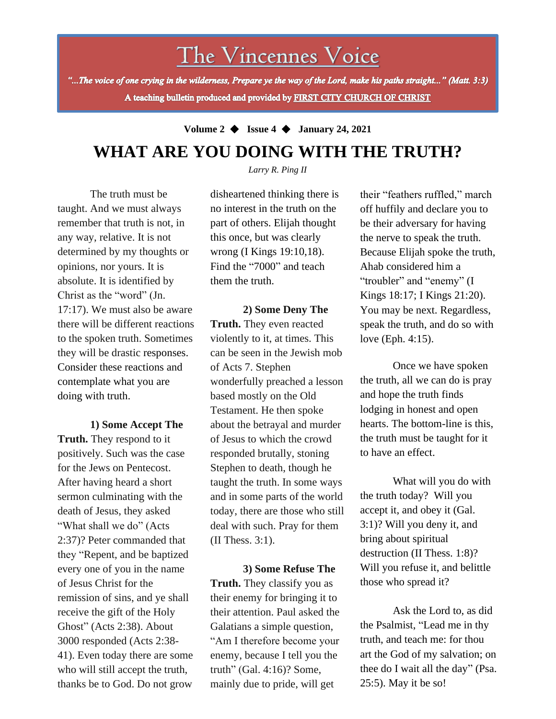# The Vincennes Voice

"...The voice of one crying in the wilderness, Prepare ye the way of the Lord, make his paths straight..." (Matt. 3:3) A teaching bulletin produced and provided by FIRST CITY CHURCH OF CHRIST

## **Volume 2** ◆ **Issue 4** ◆ **January 24, 2021 WHAT ARE YOU DOING WITH THE TRUTH?**

*Larry R. Ping II*

The truth must be taught. And we must always remember that truth is not, in any way, relative. It is not determined by my thoughts or opinions, nor yours. It is absolute. It is identified by Christ as the "word" (Jn. 17:17). We must also be aware there will be different reactions to the spoken truth. Sometimes they will be drastic responses. Consider these reactions and contemplate what you are doing with truth.

Ghost" (Acts 2:38). About **1) Some Accept The Truth.** They respond to it positively. Such was the case for the Jews on Pentecost. After having heard a short sermon culminating with the death of Jesus, they asked "What shall we do" (Acts 2:37)? Peter commanded that they "Repent, and be baptized every one of you in the name of Jesus Christ for the remission of sins, and ye shall receive the gift of the Holy 3000 responded (Acts 2:38- 41). Even today there are some who will still accept the truth, thanks be to God. Do not grow

disheartened thinking there is no interest in the truth on the part of others. Elijah thought this once, but was clearly wrong (I Kings 19:10,18). Find the "7000" and teach them the truth.

**2) Some Deny The Truth.** They even reacted violently to it, at times. This can be seen in the Jewish mob of Acts 7. Stephen wonderfully preached a lesson based mostly on the Old Testament. He then spoke about the betrayal and murder of Jesus to which the crowd responded brutally, stoning Stephen to death, though he taught the truth. In some ways and in some parts of the world today, there are those who still deal with such. Pray for them (II Thess. 3:1).

**3) Some Refuse The Truth.** They classify you as their enemy for bringing it to their attention. Paul asked the Galatians a simple question, "Am I therefore become your enemy, because I tell you the truth" (Gal. 4:16)? Some, mainly due to pride, will get

their "feathers ruffled," march off huffily and declare you to be their adversary for having the nerve to speak the truth. Because Elijah spoke the truth, Ahab considered him a "troubler" and "enemy" (I Kings 18:17; I Kings 21:20). You may be next. Regardless, speak the truth, and do so with love (Eph. 4:15).

Once we have spoken the truth, all we can do is pray and hope the truth finds lodging in honest and open hearts. The bottom-line is this, the truth must be taught for it to have an effect.

What will you do with the truth today? Will you accept it, and obey it (Gal. 3:1)? Will you deny it, and bring about spiritual destruction (II Thess. 1:8)? Will you refuse it, and belittle those who spread it?

Ask the Lord to, as did the Psalmist, "Lead me in thy truth, and teach me: for thou art the God of my salvation; on thee do I wait all the day" (Psa. 25:5). May it be so!